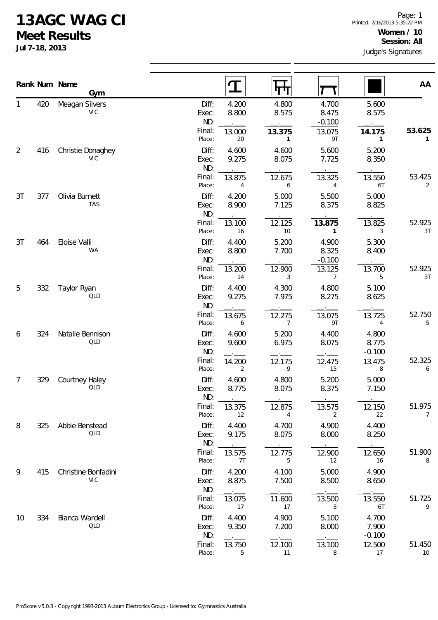## **13AGC WAG CI**

**Meet Results**

**Jul 7-18, 2013**

|                |     | Rank Num Name<br><b>Gym</b>       |                       |                  | पण                       |                            |                            | AA                       |  |
|----------------|-----|-----------------------------------|-----------------------|------------------|--------------------------|----------------------------|----------------------------|--------------------------|--|
| 1              | 420 | Meagan Silvers<br><b>VIC</b>      | Diff:<br>Exec:<br>ND: | 4.200<br>8.800   | 4.800<br>8.575           | 4.700<br>8.475<br>$-0.100$ | 5.600<br>8.575             |                          |  |
|                |     |                                   | Final:<br>Place:      | 13.000<br>$20\,$ | 13.375<br>$\mathbf{1}$   | 13.075<br>9T               | 14.175<br>1                | 53.625<br>1              |  |
| $\overline{2}$ | 416 | Christie Donaghey<br><b>VIC</b>   | Diff:<br>Exec:<br>ND: | 4.600<br>9.275   | 4.600<br>8.075           | 5.600<br>7.725             | 5.200<br>8.350             |                          |  |
|                |     |                                   | Final:<br>Place:      | 13.875<br>4      | 12.675<br>6              | 13.325<br>4                | 13.550<br>6T               | 53.425<br>2              |  |
| 3T             | 377 | Olivia Burnett<br><b>TAS</b>      | Diff:<br>Exec:<br>ND: | 4.200<br>8.900   | 5.000<br>7.125           | 5.500<br>8.375             | 5.000<br>8.825             |                          |  |
|                |     |                                   | Final:<br>Place:      | 13.100<br>16     | 12.125<br>$10$           | 13.875<br>$\mathbf{1}$     | 13.825<br>3                | 52.925<br>3T             |  |
| 3T             | 464 | Eloise Valli<br><b>WA</b>         | Diff:<br>Exec:<br>ND: | 4.400<br>8.800   | 5.200<br>7.700           | 4.900<br>8.325<br>$-0.100$ | 5.300<br>8.400             |                          |  |
|                |     |                                   | Final:<br>Place:      | 13.200<br>14     | 12.900<br>3              | 13.125<br>$\overline{7}$   | 13.700<br>5                | 52.925<br>3T             |  |
| 5              | 332 | Taylor Ryan<br>QLD                | Diff:<br>Exec:<br>ND: | 4.400<br>9.275   | 4.300<br>7.975           | 4.800<br>8.275             | 5.100<br>8.625             |                          |  |
|                |     |                                   | Final:<br>Place:      | 13.675<br>6      | 12.275<br>$\overline{7}$ | 13.075<br>9T               | 13.725<br>4                | 52.750<br>5              |  |
| 6              | 324 | Natalie Bennison<br>QLD           | Diff:<br>Exec:<br>ND: | 4.600<br>9.600   | 5.200<br>6.975           | 4.400<br>8.075             | 4.800<br>8.775<br>$-0.100$ |                          |  |
|                |     |                                   | Final:<br>Place:      | 14.200<br>2      | 12.175<br>9              | 12.475<br>15               | 13.475<br>8                | 52.325<br>6              |  |
| 7              | 329 | Courtney Haley<br>QLD             | Diff:<br>Exec:<br>ND: | 4.600<br>8.775   | 4.800<br>8.075           | 5.200<br>8.375             | 5.000<br>7.150             |                          |  |
|                |     |                                   | Final:<br>Place:      | 13.375<br>12     | 12.875<br>4              | 13.575<br>2                | 12.150<br>22               | 51.975<br>$\overline{7}$ |  |
| 8              | 325 | Abbie Benstead<br>QLD             | Diff:<br>Exec:<br>ND: | 4.400<br>9.175   | 4.700<br>8.075           | 4.900<br>8.000             | 4.400<br>8.250             |                          |  |
|                |     |                                   | Final:<br>Place:      | 13.575<br>7T     | 12.775<br>5              | 12.900<br>12               | 12.650<br>16               | 51.900<br>8              |  |
| 9              | 415 | Christine Bonfadini<br><b>VIC</b> | Diff:<br>Exec:<br>ND: | 4.200<br>8.875   | 4.100<br>7.500           | 5.000<br>8.500             | 4.900<br>8.650             |                          |  |
|                |     |                                   | Final:<br>Place:      | 13.075<br>17     | 11.600<br>17             | 13.500<br>3                | 13.550<br>6T               | 51.725<br>9              |  |
| 10             | 334 | Bianca Wardell<br>QLD             | Diff:<br>Exec:<br>ND: | 4.400<br>9.350   | 4.900<br>7.200           | 5.100<br>8.000             | 4.700<br>7.900<br>$-0.100$ |                          |  |
|                |     |                                   | Final:<br>Place:      | 13.750<br>5      | 12.100<br>11             | 13.100<br>8                | 12.500<br>17               | 51.450<br>10             |  |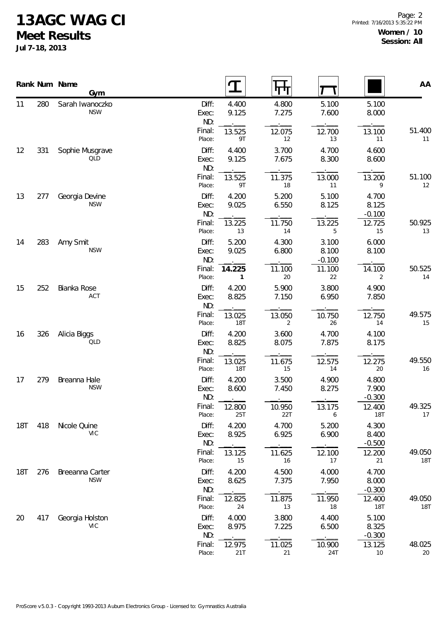## **13AGC WAG CI**

**Meet Results**

**Jul 7-18, 2013**

|                |     | Rank Num Name<br>Gym          |                                 | $\mathbf T$              | पण                       |                            |                                      | AA                   |
|----------------|-----|-------------------------------|---------------------------------|--------------------------|--------------------------|----------------------------|--------------------------------------|----------------------|
| 11             | 280 | Sarah Iwanoczko<br><b>NSW</b> | Diff:<br>Exec:<br>ND:           | 4.400<br>9.125           | 4.800<br>7.275           | 5.100<br>7.600             | 5.100<br>8.000                       |                      |
|                |     |                               | Final:<br>Place:                | 13.525<br>9T             | 12.075<br>12             | 12.700<br>13               | 13.100<br>11                         | 51.400<br>11         |
| 12             | 331 | Sophie Musgrave<br>QLD        | Diff:<br>Exec:<br>ND:           | 4.400<br>9.125           | 3.700<br>7.675           | 4.700<br>8.300             | 4.600<br>8.600                       |                      |
|                |     |                               | Final:<br>Place:                | 13.525<br>9T             | 11.375<br>18             | 13.000<br>11               | 13.200<br>9                          | 51.100<br>12         |
| 13             | 277 | Georgia Devine<br><b>NSW</b>  | Diff:<br>Exec:<br>ND:           | 4.200<br>9.025           | 5.200<br>6.550           | 5.100<br>8.125             | 4.700<br>8.125<br>$-0.100$           |                      |
|                |     |                               | Final:<br>Place:                | 13.225<br>13             | 11.750<br>14             | 13.225<br>5                | 12.725<br>15                         | 50.925<br>13         |
| 14<br>15<br>16 | 283 | Amy Smit<br><b>NSW</b>        | Diff:<br>Exec:<br>ND:           | 5.200<br>9.025           | 4.300<br>6.800           | 3.100<br>8.100<br>$-0.100$ | 6.000<br>8.100                       |                      |
|                |     |                               | Final:<br>Place:                | 14.225<br>$\mathbf{1}$   | 11.100<br>20             | 11.100<br>22               | 14.100<br>$\overline{a}$             | 50.525<br>14         |
|                | 252 | Bianka Rose<br>ACT            | Diff:<br>Exec:<br>ND:           | 4.200<br>8.825           | 5.900<br>7.150           | 3.800<br>6.950             | 4.900<br>7.850                       |                      |
|                |     |                               | Final:<br>Place:                | 13.025<br><b>18T</b>     | 13.050<br>2              | 10.750<br>26               | 12.750<br>14                         | 49.575<br>15         |
|                | 326 | Alicia Biggs<br>QLD           | Diff:<br>Exec:<br>ND:           | 4.200<br>8.825           | 3.600<br>8.075           | 4.700<br>7.875             | 4.100<br>8.175                       |                      |
|                |     |                               | Final:<br>Place:                | 13.025<br><b>18T</b>     | 11.675<br>15             | 12.575<br>14               | 12.275<br>20                         | 49.550<br>16         |
| 17             | 279 | Breanna Hale<br><b>NSW</b>    | Diff:<br>Exec:<br>ND:           | 4.200<br>8.600           | 3.500<br>7.450           | 4.900<br>8.275             | 4.800<br>7.900<br>$-0.300$           |                      |
|                |     |                               | Final:<br>Place:                | 12.800<br>25T            | 10.950<br>22T            | 13.175<br>6                | 12.400<br>18T                        | 49.325<br>17         |
| <b>18T</b>     | 418 | Nicole Quine<br><b>VIC</b>    | Diff:<br>Exec:<br>ND:           | 4.200<br>8.925           | 4.700<br>6.925           | 5.200<br>6.900             | 4.300<br>8.400<br>$-0.500$           |                      |
|                |     |                               | Final:<br>Place:                | 13.125<br>15             | 11.625<br>16             | 12.100<br>17               | 12.200<br>21                         | 49.050<br><b>18T</b> |
| <b>18T</b>     | 276 | Breeanna Carter<br><b>NSW</b> | Diff:<br>Exec:<br>ND:<br>Final: | 4.200<br>8.625<br>12.825 | 4.500<br>7.375<br>11.875 | 4.000<br>7.950<br>11.950   | 4.700<br>8.000<br>$-0.300$<br>12.400 | 49.050               |
| 20             | 417 | Georgia Holston               | Place:<br>Diff:                 | 24<br>4.000              | 13<br>3.800              | 18<br>4.400                | <b>18T</b><br>5.100                  | <b>18T</b>           |
|                |     | <b>VIC</b>                    | Exec:<br>ND:<br>Final:          | 8.975<br>12.975          | 7.225<br>11.025          | 6.500<br>10.900            | 8.325<br>$-0.300$<br>13.125          | 48.025               |
|                |     |                               | Place:                          | 21T                      | 21                       | 24T                        | 10                                   | 20                   |